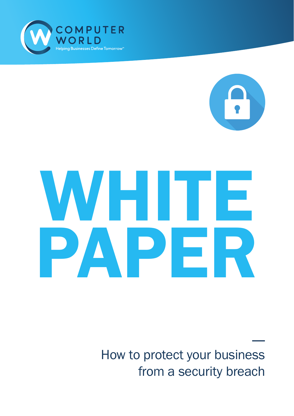

# WHITE PAPER

How to protect your business from a security breach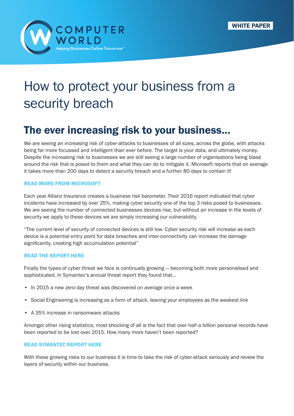

## How to protect your business from a security breach

## The ever increasing risk to your business...

We are seeing an increasing risk of cyber-attacks to businesses of all sizes, across the globe, with attacks being far more focussed and intelligent than ever before. The target is your data, and ultimately money. Despite the increasing risk to businesses we are still seeing a large number of organisations being blasé around the risk that is posed to them and what they can do to mitigate it. Microsoft reports that on average it takes more than 200 days to detect a security breach and a further 80 days to contain it!

#### [READ MORE FROM MICROSOFT](https://blogs.windows.com/windowsexperience/2016/03/01/announcing-windows-defender-advanced-threat-protection/)

Each year Allianz Insurance creates a business risk barometer. Their 2016 report indicated that cyber incidents have increased by over 25%, making cyber security one of the top 3 risks posed to businesses. We are seeing the number of connected businesses devices rise, but without an increase in the levels of security we apply to these devices we are simply increasing our vulnerability.

"The current level of security of connected devices is still low. Cyber security risk will increase as each device is a potential entry point for data breaches and inter-connectivity can increase the damage significantly, creating high accumulation potential"

#### [READ THE REPORT HERE](http://www.agcs.allianz.com/assets/PDFs/Reports/AllianzRiskBarometer2016.pdf)

Finally the types of cyber threat we face is continually growing — becoming both more personalised and sophisticated. In Symantec's annual threat report they found that…

- In 2015 a new zero-day threat was discovered on average once a week
- Social Engineering is increasing as a form of attack, leaving your employees as the weakest link
- A 35% increase in ransomware attacks

Amongst other rising statistics, most shocking of all is the fact that over half a billion personal records have been reported to be lost over 2015. How many more haven't been reported?

#### [READ SYMANTEC REPORT HERE](https://www.symantec.com/content/dam/symantec/docs/reports/istr-21-2016-en.pdf)

With these growing risks to our business it is time to take the risk of cyber-attack seriously and review the layers of security within our business.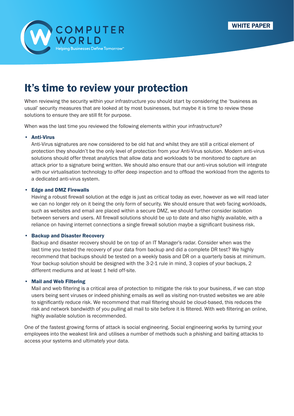



## It's time to review your protection

When reviewing the security within your infrastructure you should start by considering the 'business as usual' security measures that are looked at by most businesses, but maybe it is time to review these solutions to ensure they are still fit for purpose.

When was the last time you reviewed the following elements within your infrastructure?

#### • Anti-Virus

Anti-Virus signatures are now considered to be old hat and whilst they are still a critical element of protection they shouldn't be the only level of protection from your Anti-Virus solution. Modern anti-virus solutions should offer threat analytics that allow data and workloads to be monitored to capture an attack prior to a signature being written. We should also ensure that our anti-virus solution will integrate with our virtualisation technology to offer deep inspection and to offload the workload from the agents to a dedicated anti-virus system.

#### • Edge and DMZ Firewalls

Having a robust firewall solution at the edge is just as critical today as ever, however as we will read later we can no longer rely on it being the only form of security. We should ensure that web facing workloads, such as websites and email are placed within a secure DMZ, we should further consider isolation between servers and users. All firewall solutions should be up to date and also highly available, with a reliance on having internet connections a single firewall solution maybe a significant business risk.

#### • Backup and Disaster Recovery

Backup and disaster recovery should be on top of an IT Manager's radar. Consider when was the last time you tested the recovery of your data from backup and did a complete DR test? We highly recommend that backups should be tested on a weekly basis and DR on a quarterly basis at minimum. Your backup solution should be designed with the 3-2-1 rule in mind, 3 copies of your backups, 2 different mediums and at least 1 held off-site.

#### • Mail and Web Filtering

Mail and web filtering is a critical area of protection to mitigate the risk to your business, if we can stop users being sent viruses or indeed phishing emails as well as visiting non-trusted websites we are able to significantly reduce risk. We recommend that mail filtering should be cloud-based, this reduces the risk and network bandwidth of you pulling all mail to site before it is filtered. With web filtering an online, highly available solution is recommended.

One of the fastest growing forms of attack is social engineering. Social engineering works by turning your employees into the weakest link and utilises a number of methods such a phishing and baiting attacks to access your systems and ultimately your data.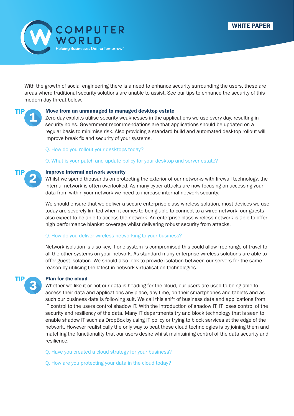

With the growth of social engineering there is a need to enhance security surrounding the users, these are areas where traditional security solutions are unable to assist. See our tips to enhance the security of this modern day threat below.

# TIP

TIP

#### Move from an unmanaged to managed desktop estate

Zero day exploits utilise security weaknesses in the applications we use every day, resulting in security holes. Government recommendations are that applications should be updated on a regular basis to minimise risk. Also providing a standard build and automated desktop rollout will improve break fix and security of your systems.

#### Q. How do you rollout your desktops today?

#### Q. What is your patch and update policy for your desktop and server estate?

#### Improve internal network security

Whilst we spend thousands on protecting the exterior of our networks with firewall technology, the internal network is often overlooked. As many cyber-attacks are now focusing on accessing your data from within your network we need to increase internal network security.

We should ensure that we deliver a secure enterprise class wireless solution, most devices we use today are severely limited when it comes to being able to connect to a wired network, our guests also expect to be able to access the network. An enterprise class wireless network is able to offer high performance blanket coverage whilst delivering robust security from attacks.

#### Q. How do you deliver wireless networking to your business?

Network isolation is also key, if one system is compromised this could allow free range of travel to all the other systems on your network. As standard many enterprise wireless solutions are able to offer guest isolation. We should also look to provide isolation between our servers for the same reason by utilising the latest in network virtualisation technologies.



#### Plan for the cloud

Whether we like it or not our data is heading for the cloud, our users are used to being able to access their data and applications any place, any time, on their smartphones and tablets and as such our business data is following suit. We call this shift of business data and applications from IT control to the users control shadow IT. With the introduction of shadow IT, IT loses control of the security and resiliency of the data. Many IT departments try and block technology that is seen to enable shadow IT such as DropBox by using IT policy or trying to block services at the edge of the network. However realistically the only way to beat these cloud technologies is by joining them and matching the functionality that our users desire whilst maintaining control of the data security and resilience.

- Q. Have you created a cloud strategy for your business?
- Q. How are you protecting your data in the cloud today?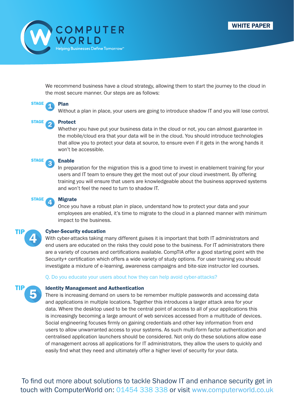



We recommend business have a cloud strategy, allowing them to start the journey to the cloud in the most secure manner. Our steps are as follows:



Plan

Without a plan in place, your users are going to introduce shadow IT and you will lose control.

**STAGE** 

#### Protect

Whether you have put your business data in the cloud or not, you can almost guarantee in the mobile/cloud era that your data will be in the cloud. You should introduce technologies that allow you to protect your data at source, to ensure even if it gets in the wrong hands it won't be accessible.



#### Enable

In preparation for the migration this is a good time to invest in enablement training for your users and IT team to ensure they get the most out of your cloud investment. By offering training you will ensure that users are knowledgeable about the business approved systems and won't feel the need to turn to shadow IT.



#### Migrate

Once you have a robust plan in place, understand how to protect your data and your employees are enabled, it's time to migrate to the cloud in a planned manner with minimum impact to the business.



#### Cyber-Security education

With cyber-attacks taking many different guises it is important that both IT administrators and end users are educated on the risks they could pose to the business. For IT administrators there are a variety of courses and certifications available. CompTIA offer a good starting point with the Security+ certification which offers a wide variety of study options. For user training you should investigate a mixture of e-learning, awareness campaigns and bite-size instructor led courses.

#### Q. Do you educate your users about how they can help avoid cyber-attacks?



#### Identity Management and Authentication

There is increasing demand on users to be remember multiple passwords and accessing data and applications in multiple locations. Together this introduces a larger attack area for your data. Where the desktop used to be the central point of access to all of your applications this is increasingly becoming a large amount of web services accessed from a multitude of devices. Social engineering focuses firmly on gaining credentials and other key information from end users to allow unwarranted access to your systems. As such multi-form factor authentication and centralised application launchers should be considered. Not only do these solutions allow ease of management across all applications for IT administrators, they allow the users to quickly and easily find what they need and ultimately offer a higher level of security for your data.

To find out more about solutions to tackle Shadow IT and enhance security get in touch with ComputerWorld on: 01454 338 338 or visit [www.computerworld.co.uk](http://www.computerworld.co.uk)